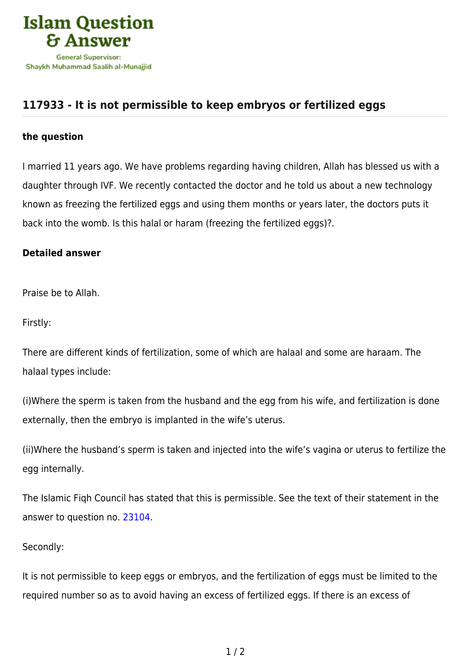

## **[117933 - It is not permissible to keep embryos or fertilized eggs](https://islamqa.com/en/answers/117933/it-is-not-permissible-to-keep-embryos-or-fertilized-eggs)**

## **the question**

I married 11 years ago. We have problems regarding having children, Allah has blessed us with a daughter through IVF. We recently contacted the doctor and he told us about a new technology known as freezing the fertilized eggs and using them months or years later, the doctors puts it back into the womb. Is this halal or haram (freezing the fertilized eggs)?.

## **Detailed answer**

Praise be to Allah.

Firstly:

There are different kinds of fertilization, some of which are halaal and some are haraam. The halaal types include:

(i)Where the sperm is taken from the husband and the egg from his wife, and fertilization is done externally, then the embryo is implanted in the wife's uterus.

(ii)Where the husband's sperm is taken and injected into the wife's vagina or uterus to fertilize the egg internally.

The Islamic Fiqh Council has stated that this is permissible. See the text of their statement in the answer to question no. [23104.](https://islamqa.com/ar/answers/)

## Secondly:

It is not permissible to keep eggs or embryos, and the fertilization of eggs must be limited to the required number so as to avoid having an excess of fertilized eggs. If there is an excess of